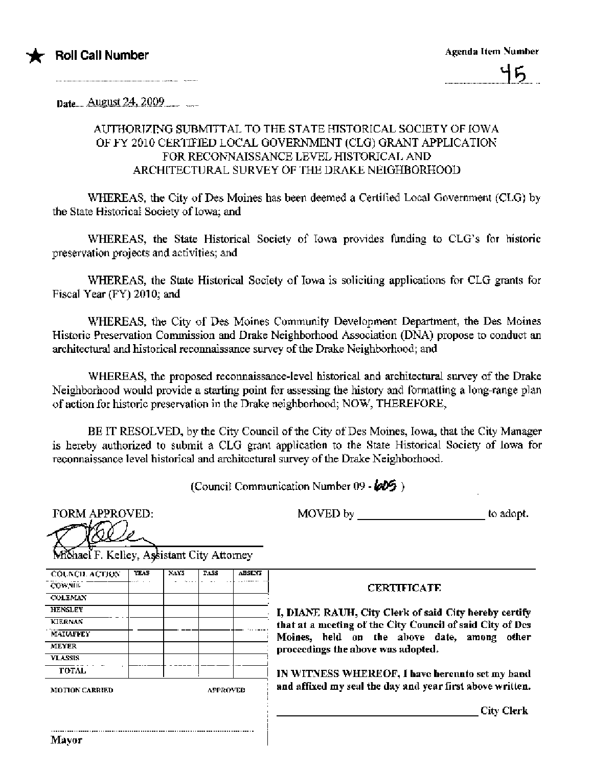

Date August 24, 2009

# AUTHORIZING SUBMITTAL TO THE STATE HISTORICAL SOCIETY OF IOWA OF FY 2010 CERTIFIED LOCAL GOVERNMENT (CLG) GRANT APPLICATION FOR RECONNAISSANCE LEVEL HISTORICAL AND ARCHITECTURAL SURVEY OF THE DRAKE NEIGHBORHOOD

WHEREAS, the City of Des Moines has been deemed a Certified Local Government (CLG) by the State Historical Society of Iowa; and

WHEREAS, the State Historical Society of Iowa provides funding to CLG's for historic preservation projects and activities; and

WHEREAS, the State Historical Society of Iowa is soliciting applications for CLG grants for Fiscal Year (FY) 2010; and

WHEREAS, the City of Des Moines Community Development Department, the Des Moines Historic Preservation Commission and Drake Neighborhood Association (DNA) propose to conduct an architectural and historical reconnaissance survey of the Drake Neighborhood; and

WHEREAS, the proposed reconnaissance-level historical and architectural survey of the Drake Neighborhood would provide a starting point for assessing the history and formatting a long-range plan of action for historic preservation in the Drake neighborhood; NOW, THEREFORE,

BE IT RESOLVED, by the City Council of the City of Des Moines, Iowa, that the City Manager is hereby authorized to submit a CLG grant application to the State Historical Society of lowa for reconnaissance level historical and architectural survey of the Drake Neighborhood.

(Council Communication Number 09 - 605)

**FORM APPROVED:**  $\rightarrow$ 

MOVED by \_\_\_\_\_\_\_\_\_\_\_\_\_\_\_\_\_\_\_\_\_\_\_\_\_\_\_\_\_\_to adopt.

| <b>COUNCIL ACTION</b> | YEAS. | NAYS | <b>TASS</b> | ABSENT |             |
|-----------------------|-------|------|-------------|--------|-------------|
| CON NTIC              |       |      |             |        |             |
| <b>COLEMAN</b>        |       |      |             |        |             |
| <b>HENSLEY</b>        |       |      |             |        | I, DIANE    |
| <b>KIERNAN</b>        |       |      |             |        | that at a n |
| MAILAFFEY             |       |      |             |        | Moines,     |
| MEYER                 |       |      |             |        | proceeding  |
| <b>VLASSIS</b>        |       |      |             |        |             |
| TOTAL                 |       |      |             |        | IN WITNE    |

**CERTIFICATE** 

RAUH, City Clerk of said City hereby certify necting of the City Council of said City of Des held on the above date, among other gs the above was adopted.

ESS WHEREOF, I have hereunto set my hand d my seal the day and year first above written.

**City Clerk**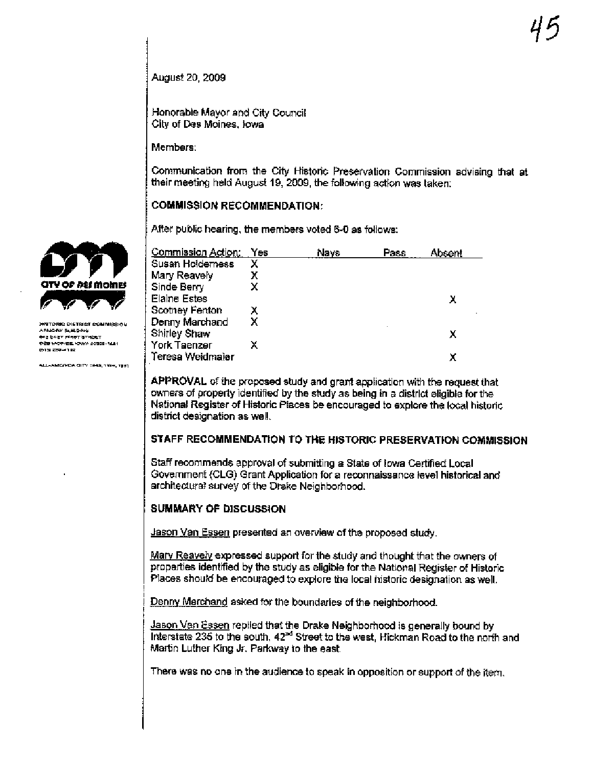August 20, 2009

Honorable Mayor and City Council City of Des Moines, Jowa

Members:

Communication from the City Historic Preservation Commission advising that at their meeting held August 19, 2009, the following action was taken:

### **COMMISSION RECOMMENDATION:**

After public hearing, the members voted 6-0 as follows:

| Commission Action:  | Yes | Nays | Pass | Absent |
|---------------------|-----|------|------|--------|
| Susan Holderness    | х   |      |      |        |
| Mary Reavely        | х   |      |      |        |
| Sinde Berry         |     |      |      |        |
| <b>Elaine Estes</b> |     |      |      |        |
| Scotney Fenton      | х   |      |      |        |
| Denny Marchand      | х   |      |      |        |
| <b>Shirley Shaw</b> |     |      |      | x      |
| York Taenzer        |     |      |      |        |
| Teresa Weidmaier    |     |      |      |        |

APPROVAL of the proposed study and grant application with the request that owners of property identified by the study as being in a district eligible for the National Register of Historic Places be encouraged to explore the local historic district designation as well.

### STAFF RECOMMENDATION TO THE HISTORIC PRESERVATION COMMISSION

Staff recommends approval of submitting a State of lowa Certified Local Government (CLG) Grant Application for a reconnaissance level historical and architectural survey of the Drake Neighborhood.

# **SUMMARY OF DISCUSSION**

Jason Van Essen presented an overview of the proposed study.

Mary Reavely expressed support for the study and thought that the owners of properties identified by the study as eligible for the National Register of Historic Places should be encouraged to explore the local historic designation as well.

Denny Marchand asked for the boundaries of the neighborhood.

Jason Van Essen replied that the Drake Neighborhood is generally bound by Interstate 235 to the south, 42<sup>nd</sup> Street to the west. Hickman Road to the north and Martin Luther King Jr. Parkway to the east.

There was no one in the audience to speak in opposition or support of the item.



.<br>ФТОРИС DIATRICT COMMISSION **ARMORY BUM, DING** ens Pozz einer areber DEB MORVES, NOWA SOSBE-1621 .<br>1915: 2004-102

**ALL-AMERICA CITY 7849, 1909, 1981**